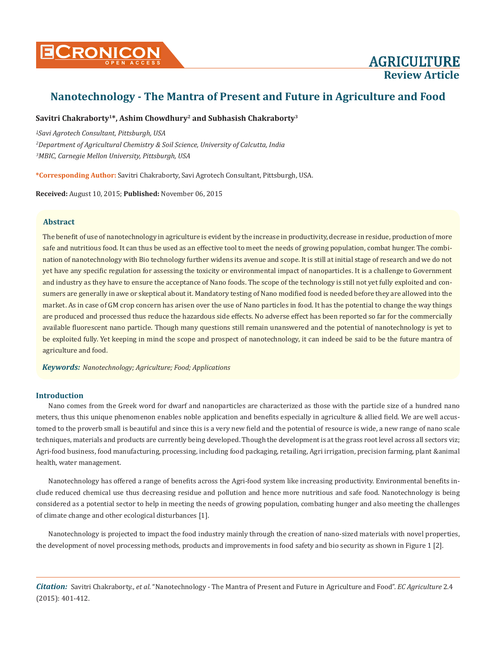

# Savitri Chakraborty<sup>1\*</sup>, Ashim Chowdhury<sup>2</sup> and Subhasish Chakraborty<sup>3</sup>

*1 Savi Agrotech Consultant, Pittsburgh, USA 2 Department of Agricultural Chemistry & Soil Science, University of Calcutta, India 3 MBIC, Carnegie Mellon University, Pittsburgh, USA*

**\*Corresponding Author:** Savitri Chakraborty, Savi Agrotech Consultant, Pittsburgh, USA.

**Received:** August 10, 2015; **Published:** November 06, 2015

# **Abstract**

The benefit of use of nanotechnology in agriculture is evident by the increase in productivity, decrease in residue, production of more safe and nutritious food. It can thus be used as an effective tool to meet the needs of growing population, combat hunger. The combination of nanotechnology with Bio technology further widens its avenue and scope. It is still at initial stage of research and we do not yet have any specific regulation for assessing the toxicity or environmental impact of nanoparticles. It is a challenge to Government and industry as they have to ensure the acceptance of Nano foods. The scope of the technology is still not yet fully exploited and consumers are generally in awe or skeptical about it. Mandatory testing of Nano modified food is needed before they are allowed into the market. As in case of GM crop concern has arisen over the use of Nano particles in food. It has the potential to change the way things are produced and processed thus reduce the hazardous side effects. No adverse effect has been reported so far for the commercially available fluorescent nano particle. Though many questions still remain unanswered and the potential of nanotechnology is yet to be exploited fully. Yet keeping in mind the scope and prospect of nanotechnology, it can indeed be said to be the future mantra of agriculture and food.

*Keywords: Nanotechnology; Agriculture; Food; Applications*

# **Introduction**

Nano comes from the Greek word for dwarf and nanoparticles are characterized as those with the particle size of a hundred nano meters, thus this unique phenomenon enables noble application and benefits especially in agriculture & allied field. We are well accustomed to the proverb small is beautiful and since this is a very new field and the potential of resource is wide, a new range of nano scale techniques, materials and products are currently being developed. Though the development is at the grass root level across all sectors viz; Agri-food business, food manufacturing, processing, including food packaging, retailing, Agri irrigation, precision farming, plant &animal health, water management.

Nanotechnology has offered a range of benefits across the Agri-food system like increasing productivity. Environmental benefits include reduced chemical use thus decreasing residue and pollution and hence more nutritious and safe food. Nanotechnology is being considered as a potential sector to help in meeting the needs of growing population, combating hunger and also meeting the challenges of climate change and other ecological disturbances [1].

Nanotechnology is projected to impact the food industry mainly through the creation of nano-sized materials with novel properties, the development of novel processing methods, products and improvements in food safety and bio security as shown in Figure 1 [2].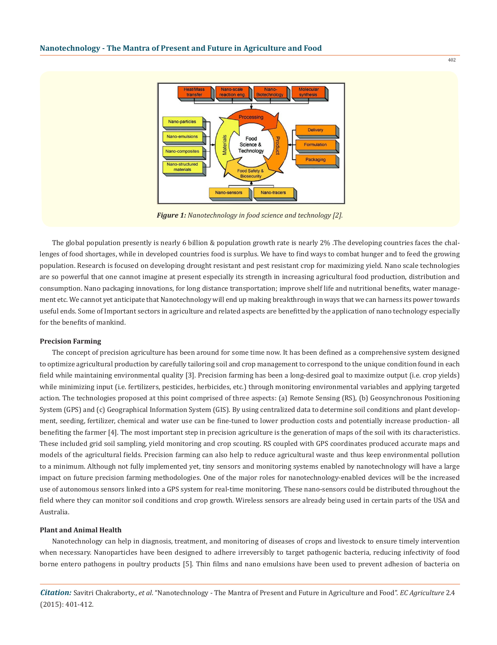

*Figure 1: Nanotechnology in food science and technology [2].*

The global population presently is nearly 6 billion & population growth rate is nearly 2% .The developing countries faces the challenges of food shortages, while in developed countries food is surplus. We have to find ways to combat hunger and to feed the growing population. Research is focused on developing drought resistant and pest resistant crop for maximizing yield. Nano scale technologies are so powerful that one cannot imagine at present especially its strength in increasing agricultural food production, distribution and consumption. Nano packaging innovations, for long distance transportation; improve shelf life and nutritional benefits, water management etc. We cannot yet anticipate that Nanotechnology will end up making breakthrough in ways that we can harness its power towards useful ends. Some of Important sectors in agriculture and related aspects are benefitted by the application of nano technology especially for the benefits of mankind.

#### **Precision Farming**

The concept of precision agriculture has been around for some time now. It has been defined as a comprehensive system designed to optimize agricultural production by carefully tailoring soil and crop management to correspond to the unique condition found in each field while maintaining environmental quality [3]. Precision farming has been a long-desired goal to maximize output (i.e. crop yields) while minimizing input (i.e. fertilizers, pesticides, herbicides, etc.) through monitoring environmental variables and applying targeted action. The technologies proposed at this point comprised of three aspects: (a) Remote Sensing (RS), (b) Geosynchronous Positioning System (GPS) and (c) Geographical Information System (GIS). By using centralized data to determine soil conditions and plant development, seeding, fertilizer, chemical and water use can be fine-tuned to lower production costs and potentially increase production- all benefiting the farmer [4]. The most important step in precision agriculture is the generation of maps of the soil with its characteristics. These included grid soil sampling, yield monitoring and crop scouting. RS coupled with GPS coordinates produced accurate maps and models of the agricultural fields. Precision farming can also help to reduce agricultural waste and thus keep environmental pollution to a minimum. Although not fully implemented yet, tiny sensors and monitoring systems enabled by nanotechnology will have a large impact on future precision farming methodologies. One of the major roles for nanotechnology-enabled devices will be the increased use of autonomous sensors linked into a GPS system for real-time monitoring. These nano-sensors could be distributed throughout the field where they can monitor soil conditions and crop growth. Wireless sensors are already being used in certain parts of the USA and Australia.

# **Plant and Animal Health**

Nanotechnology can help in diagnosis, treatment, and monitoring of diseases of crops and livestock to ensure timely intervention when necessary. Nanoparticles have been designed to adhere irreversibly to target pathogenic bacteria, reducing infectivity of food borne entero pathogens in poultry products [5]. Thin films and nano emulsions have been used to prevent adhesion of bacteria on

*Citation:* Savitri Chakraborty., *et al*. "Nanotechnology - The Mantra of Present and Future in Agriculture and Food". *EC Agriculture* 2.4 (2015): 401-412.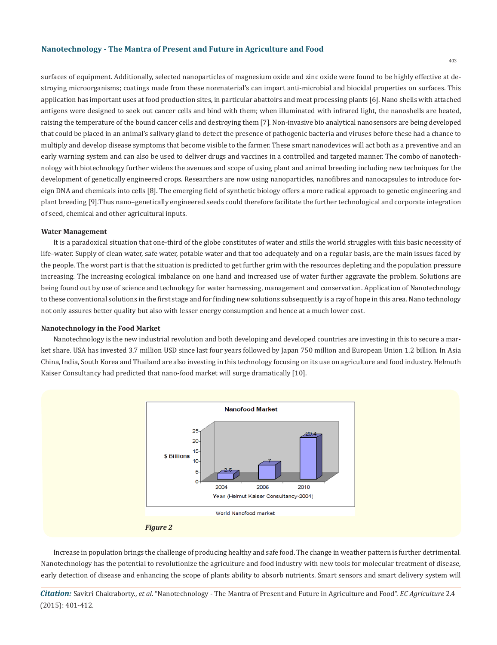surfaces of equipment. Additionally, selected nanoparticles of magnesium oxide and zinc oxide were found to be highly effective at destroying microorganisms; coatings made from these nonmaterial's can impart anti-microbial and biocidal properties on surfaces. This application has important uses at food production sites, in particular abattoirs and meat processing plants [6]. Nano shells with attached antigens were designed to seek out cancer cells and bind with them; when illuminated with infrared light, the nanoshells are heated, raising the temperature of the bound cancer cells and destroying them [7]. Non-invasive bio analytical nanosensors are being developed that could be placed in an animal's salivary gland to detect the presence of pathogenic bacteria and viruses before these had a chance to multiply and develop disease symptoms that become visible to the farmer. These smart nanodevices will act both as a preventive and an early warning system and can also be used to deliver drugs and vaccines in a controlled and targeted manner. The combo of nanotechnology with biotechnology further widens the avenues and scope of using plant and animal breeding including new techniques for the development of genetically engineered crops. Researchers are now using nanoparticles, nanofibres and nanocapsules to introduce foreign DNA and chemicals into cells [8]. The emerging field of synthetic biology offers a more radical approach to genetic engineering and plant breeding [9].Thus nano–genetically engineered seeds could therefore facilitate the further technological and corporate integration of seed, chemical and other agricultural inputs.

### **Water Management**

It is a paradoxical situation that one-third of the globe constitutes of water and stills the world struggles with this basic necessity of life–water. Supply of clean water, safe water, potable water and that too adequately and on a regular basis, are the main issues faced by the people. The worst part is that the situation is predicted to get further grim with the resources depleting and the population pressure increasing. The increasing ecological imbalance on one hand and increased use of water further aggravate the problem. Solutions are being found out by use of science and technology for water harnessing, management and conservation. Application of Nanotechnology to these conventional solutions in the first stage and for finding new solutions subsequently is a ray of hope in this area. Nano technology not only assures better quality but also with lesser energy consumption and hence at a much lower cost.

#### **Nanotechnology in the Food Market**

Nanotechnology is the new industrial revolution and both developing and developed countries are investing in this to secure a market share. USA has invested 3.7 million USD since last four years followed by Japan 750 million and European Union 1.2 billion. In Asia China, India, South Korea and Thailand are also investing in this technology focusing on its use on agriculture and food industry. Helmuth Kaiser Consultancy had predicted that nano-food market will surge dramatically [10].





Increase in population brings the challenge of producing healthy and safe food. The change in weather pattern is further detrimental. Nanotechnology has the potential to revolutionize the agriculture and food industry with new tools for molecular treatment of disease, early detection of disease and enhancing the scope of plants ability to absorb nutrients. Smart sensors and smart delivery system will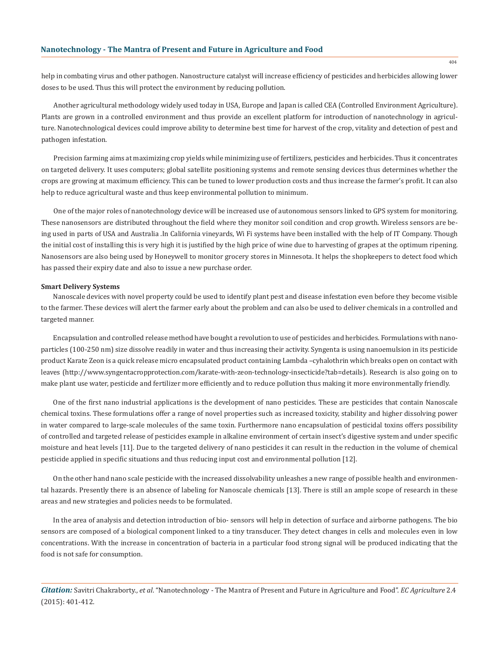help in combating virus and other pathogen. Nanostructure catalyst will increase efficiency of pesticides and herbicides allowing lower doses to be used. Thus this will protect the environment by reducing pollution.

Another agricultural methodology widely used today in USA, Europe and Japan is called CEA (Controlled Environment Agriculture). Plants are grown in a controlled environment and thus provide an excellent platform for introduction of nanotechnology in agriculture. Nanotechnological devices could improve ability to determine best time for harvest of the crop, vitality and detection of pest and pathogen infestation.

Precision farming aims at maximizing crop yields while minimizing use of fertilizers, pesticides and herbicides. Thus it concentrates on targeted delivery. It uses computers; global satellite positioning systems and remote sensing devices thus determines whether the crops are growing at maximum efficiency. This can be tuned to lower production costs and thus increase the farmer's profit. It can also help to reduce agricultural waste and thus keep environmental pollution to minimum.

One of the major roles of nanotechnology device will be increased use of autonomous sensors linked to GPS system for monitoring. These nanosensors are distributed throughout the field where they monitor soil condition and crop growth. Wireless sensors are being used in parts of USA and Australia .In California vineyards, Wi Fi systems have been installed with the help of IT Company. Though the initial cost of installing this is very high it is justified by the high price of wine due to harvesting of grapes at the optimum ripening. Nanosensors are also being used by Honeywell to monitor grocery stores in Minnesota. It helps the shopkeepers to detect food which has passed their expiry date and also to issue a new purchase order.

### **Smart Delivery Systems**

Nanoscale devices with novel property could be used to identify plant pest and disease infestation even before they become visible to the farmer. These devices will alert the farmer early about the problem and can also be used to deliver chemicals in a controlled and targeted manner.

Encapsulation and controlled release method have bought a revolution to use of pesticides and herbicides. Formulations with nanoparticles (100-250 nm) size dissolve readily in water and thus increasing their activity. Syngenta is using nanoemulsion in its pesticide product Karate Zeon is a quick release micro encapsulated product containing Lambda –cyhalothrin which breaks open on contact with leaves (http://www.syngentacropprotection.com/karate-with-zeon-technology-insecticide?tab=details). Research is also going on to make plant use water, pesticide and fertilizer more efficiently and to reduce pollution thus making it more environmentally friendly.

One of the first nano industrial applications is the development of nano pesticides. These are pesticides that contain Nanoscale chemical toxins. These formulations offer a range of novel properties such as increased toxicity, stability and higher dissolving power in water compared to large-scale molecules of the same toxin. Furthermore nano encapsulation of pesticidal toxins offers possibility of controlled and targeted release of pesticides example in alkaline environment of certain insect's digestive system and under specific moisture and heat levels [11]. Due to the targeted delivery of nano pesticides it can result in the reduction in the volume of chemical pesticide applied in specific situations and thus reducing input cost and environmental pollution [12].

On the other hand nano scale pesticide with the increased dissolvability unleashes a new range of possible health and environmental hazards. Presently there is an absence of labeling for Nanoscale chemicals [13]. There is still an ample scope of research in these areas and new strategies and policies needs to be formulated.

In the area of analysis and detection introduction of bio- sensors will help in detection of surface and airborne pathogens. The bio sensors are composed of a biological component linked to a tiny transducer. They detect changes in cells and molecules even in low concentrations. With the increase in concentration of bacteria in a particular food strong signal will be produced indicating that the food is not safe for consumption.

*Citation:* Savitri Chakraborty., *et al*. "Nanotechnology - The Mantra of Present and Future in Agriculture and Food". *EC Agriculture* 2.4 (2015): 401-412.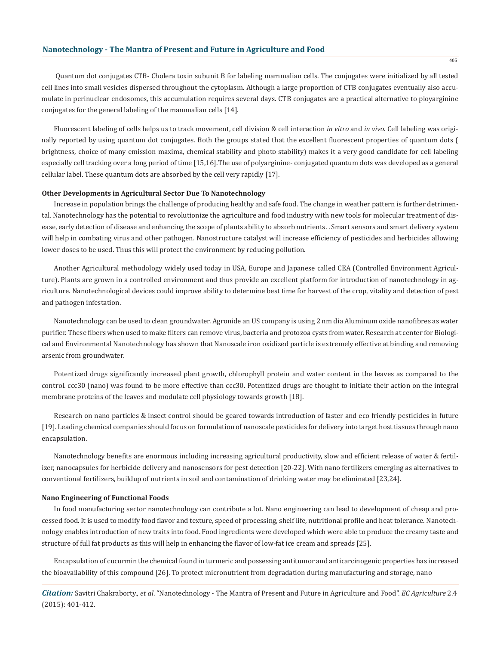Quantum dot conjugates CTB- Cholera toxin subunit B for labeling mammalian cells. The conjugates were initialized by all tested cell lines into small vesicles dispersed throughout the cytoplasm. Although a large proportion of CTB conjugates eventually also accumulate in perinuclear endosomes, this accumulation requires several days. CTB conjugates are a practical alternative to ployarginine conjugates for the general labeling of the mammalian cells [14].

Fluorescent labeling of cells helps us to track movement, cell division & cell interaction *in vitro* and *in vivo*. Cell labeling was originally reported by using quantum dot conjugates. Both the groups stated that the excellent fluorescent properties of quantum dots ( brightness, choice of many emission maxima, chemical stability and photo stability) makes it a very good candidate for cell labeling especially cell tracking over a long period of time [15,16].The use of polyarginine- conjugated quantum dots was developed as a general cellular label. These quantum dots are absorbed by the cell very rapidly [17].

### **Other Developments in Agricultural Sector Due To Nanotechnology**

Increase in population brings the challenge of producing healthy and safe food. The change in weather pattern is further detrimental. Nanotechnology has the potential to revolutionize the agriculture and food industry with new tools for molecular treatment of disease, early detection of disease and enhancing the scope of plants ability to absorb nutrients. . Smart sensors and smart delivery system will help in combating virus and other pathogen. Nanostructure catalyst will increase efficiency of pesticides and herbicides allowing lower doses to be used. Thus this will protect the environment by reducing pollution.

Another Agricultural methodology widely used today in USA, Europe and Japanese called CEA (Controlled Environment Agriculture). Plants are grown in a controlled environment and thus provide an excellent platform for introduction of nanotechnology in agriculture. Nanotechnological devices could improve ability to determine best time for harvest of the crop, vitality and detection of pest and pathogen infestation.

Nanotechnology can be used to clean groundwater. Agronide an US company is using 2 nm dia Aluminum oxide nanofibres as water purifier. These fibers when used to make filters can remove virus, bacteria and protozoa cysts from water. Research at center for Biological and Environmental Nanotechnology has shown that Nanoscale iron oxidized particle is extremely effective at binding and removing arsenic from groundwater.

Potentized drugs significantly increased plant growth, chlorophyll protein and water content in the leaves as compared to the control. ccc30 (nano) was found to be more effective than ccc30. Potentized drugs are thought to initiate their action on the integral membrane proteins of the leaves and modulate cell physiology towards growth [18].

Research on nano particles & insect control should be geared towards introduction of faster and eco friendly pesticides in future [19]. Leading chemical companies should focus on formulation of nanoscale pesticides for delivery into target host tissues through nano encapsulation.

Nanotechnology benefits are enormous including increasing agricultural productivity, slow and efficient release of water & fertilizer, nanocapsules for herbicide delivery and nanosensors for pest detection [20-22]. With nano fertilizers emerging as alternatives to conventional fertilizers, buildup of nutrients in soil and contamination of drinking water may be eliminated [23,24].

#### **Nano Engineering of Functional Foods**

In food manufacturing sector nanotechnology can contribute a lot. Nano engineering can lead to development of cheap and processed food. It is used to modify food flavor and texture, speed of processing, shelf life, nutritional profile and heat tolerance. Nanotechnology enables introduction of new traits into food. Food ingredients were developed which were able to produce the creamy taste and structure of full fat products as this will help in enhancing the flavor of low-fat ice cream and spreads [25].

Encapsulation of cucurmin the chemical found in turmeric and possessing antitumor and anticarcinogenic properties has increased the bioavailability of this compound [26]. To protect micronutrient from degradation during manufacturing and storage, nano

*Citation:* Savitri Chakraborty., *et al*. "Nanotechnology - The Mantra of Present and Future in Agriculture and Food". *EC Agriculture* 2.4 (2015): 401-412.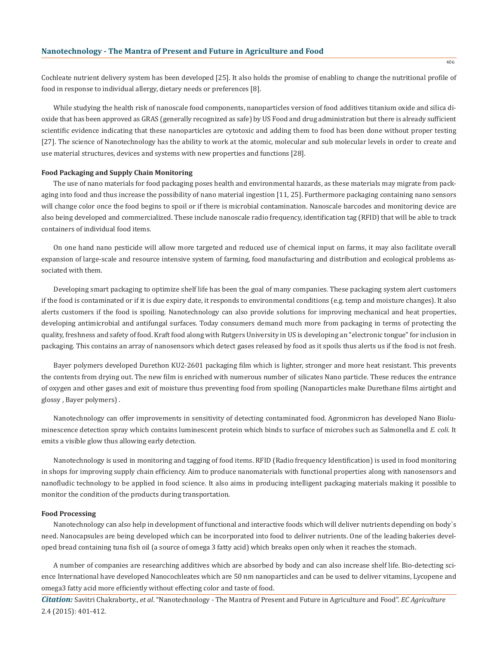Cochleate nutrient delivery system has been developed [25]. It also holds the promise of enabling to change the nutritional profile of food in response to individual allergy, dietary needs or preferences [8].

While studying the health risk of nanoscale food components, nanoparticles version of food additives titanium oxide and silica dioxide that has been approved as GRAS (generally recognized as safe) by US Food and drug administration but there is already sufficient scientific evidence indicating that these nanoparticles are cytotoxic and adding them to food has been done without proper testing [27]. The science of Nanotechnology has the ability to work at the atomic, molecular and sub molecular levels in order to create and use material structures, devices and systems with new properties and functions [28].

### **Food Packaging and Supply Chain Monitoring**

The use of nano materials for food packaging poses health and environmental hazards, as these materials may migrate from packaging into food and thus increase the possibility of nano material ingestion [11, 25]. Furthermore packaging containing nano sensors will change color once the food begins to spoil or if there is microbial contamination. Nanoscale barcodes and monitoring device are also being developed and commercialized. These include nanoscale radio frequency, identification tag (RFID) that will be able to track containers of individual food items.

On one hand nano pesticide will allow more targeted and reduced use of chemical input on farms, it may also facilitate overall expansion of large-scale and resource intensive system of farming, food manufacturing and distribution and ecological problems associated with them.

Developing smart packaging to optimize shelf life has been the goal of many companies. These packaging system alert customers if the food is contaminated or if it is due expiry date, it responds to environmental conditions (e.g. temp and moisture changes). It also alerts customers if the food is spoiling. Nanotechnology can also provide solutions for improving mechanical and heat properties, developing antimicrobial and antifungal surfaces. Today consumers demand much more from packaging in terms of protecting the quality, freshness and safety of food. Kraft food along with Rutgers University in US is developing an "electronic tongue" for inclusion in packaging. This contains an array of nanosensors which detect gases released by food as it spoils thus alerts us if the food is not fresh.

Bayer polymers developed Durethon KU2-2601 packaging film which is lighter, stronger and more heat resistant. This prevents the contents from drying out. The new film is enriched with numerous number of silicates Nano particle. These reduces the entrance of oxygen and other gases and exit of moisture thus preventing food from spoiling (Nanoparticles make Durethane films airtight and glossy , Bayer polymers) .

Nanotechnology can offer improvements in sensitivity of detecting contaminated food. Agronmicron has developed Nano Bioluminescence detection spray which contains luminescent protein which binds to surface of microbes such as Salmonella and *E. coli*. It emits a visible glow thus allowing early detection.

Nanotechnology is used in monitoring and tagging of food items. RFID (Radio frequency Identification) is used in food monitoring in shops for improving supply chain efficiency. Aim to produce nanomaterials with functional properties along with nanosensors and nanofludic technology to be applied in food science. It also aims in producing intelligent packaging materials making it possible to monitor the condition of the products during transportation.

### **Food Processing**

Nanotechnology can also help in development of functional and interactive foods which will deliver nutrients depending on body`s need. Nanocapsules are being developed which can be incorporated into food to deliver nutrients. One of the leading bakeries developed bread containing tuna fish oil (a source of omega 3 fatty acid) which breaks open only when it reaches the stomach.

A number of companies are researching additives which are absorbed by body and can also increase shelf life. Bio-detecting science International have developed Nanocochleates which are 50 nm nanoparticles and can be used to deliver vitamins, Lycopene and omega3 fatty acid more efficiently without effecting color and taste of food.

*Citation:* Savitri Chakraborty., *et al*. "Nanotechnology - The Mantra of Present and Future in Agriculture and Food". *EC Agriculture* 2.4 (2015): 401-412.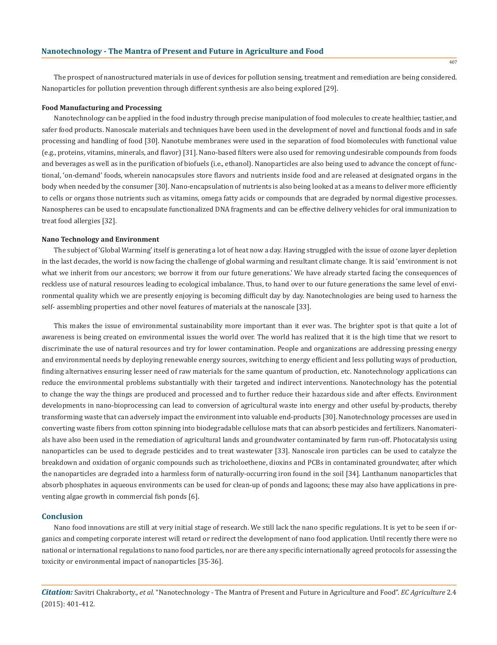The prospect of nanostructured materials in use of devices for pollution sensing, treatment and remediation are being considered. Nanoparticles for pollution prevention through different synthesis are also being explored [29].

### **Food Manufacturing and Processing**

Nanotechnology can be applied in the food industry through precise manipulation of food molecules to create healthier, tastier, and safer food products. Nanoscale materials and techniques have been used in the development of novel and functional foods and in safe processing and handling of food [30]. Nanotube membranes were used in the separation of food biomolecules with functional value (e.g., proteins, vitamins, minerals, and flavor) [31]. Nano-based filters were also used for removing undesirable compounds from foods and beverages as well as in the purification of biofuels (i.e., ethanol). Nanoparticles are also being used to advance the concept of functional, 'on-demand' foods, wherein nanocapsules store flavors and nutrients inside food and are released at designated organs in the body when needed by the consumer [30]. Nano-encapsulation of nutrients is also being looked at as a means to deliver more efficiently to cells or organs those nutrients such as vitamins, omega fatty acids or compounds that are degraded by normal digestive processes. Nanospheres can be used to encapsulate functionalized DNA fragments and can be effective delivery vehicles for oral immunization to treat food allergies [32].

### **Nano Technology and Environment**

The subject of 'Global Warming' itself is generating a lot of heat now a day. Having struggled with the issue of ozone layer depletion in the last decades, the world is now facing the challenge of global warming and resultant climate change. It is said 'environment is not what we inherit from our ancestors; we borrow it from our future generations.' We have already started facing the consequences of reckless use of natural resources leading to ecological imbalance. Thus, to hand over to our future generations the same level of environmental quality which we are presently enjoying is becoming difficult day by day. Nanotechnologies are being used to harness the self- assembling properties and other novel features of materials at the nanoscale [33].

This makes the issue of environmental sustainability more important than it ever was. The brighter spot is that quite a lot of awareness is being created on environmental issues the world over. The world has realized that it is the high time that we resort to discriminate the use of natural resources and try for lower contamination. People and organizations are addressing pressing energy and environmental needs by deploying renewable energy sources, switching to energy efficient and less polluting ways of production, finding alternatives ensuring lesser need of raw materials for the same quantum of production, etc. Nanotechnology applications can reduce the environmental problems substantially with their targeted and indirect interventions. Nanotechnology has the potential to change the way the things are produced and processed and to further reduce their hazardous side and after effects. Environment developments in nano-bioprocessing can lead to conversion of agricultural waste into energy and other useful by-products, thereby transforming waste that can adversely impact the environment into valuable end-products [30]. Nanotechnology processes are used in converting waste fibers from cotton spinning into biodegradable cellulose mats that can absorb pesticides and fertilizers. Nanomaterials have also been used in the remediation of agricultural lands and groundwater contaminated by farm run-off. Photocatalysis using nanoparticles can be used to degrade pesticides and to treat wastewater [33]. Nanoscale iron particles can be used to catalyze the breakdown and oxidation of organic compounds such as tricholoethene, dioxins and PCBs in contaminated groundwater, after which the nanoparticles are degraded into a harmless form of naturally-occurring iron found in the soil [34]. Lanthanum nanoparticles that absorb phosphates in aqueous environments can be used for clean-up of ponds and lagoons; these may also have applications in preventing algae growth in commercial fish ponds [6].

# **Conclusion**

Nano food innovations are still at very initial stage of research. We still lack the nano specific regulations. It is yet to be seen if organics and competing corporate interest will retard or redirect the development of nano food application. Until recently there were no national or international regulations to nano food particles, nor are there any specific internationally agreed protocols for assessing the toxicity or environmental impact of nanoparticles [35-36].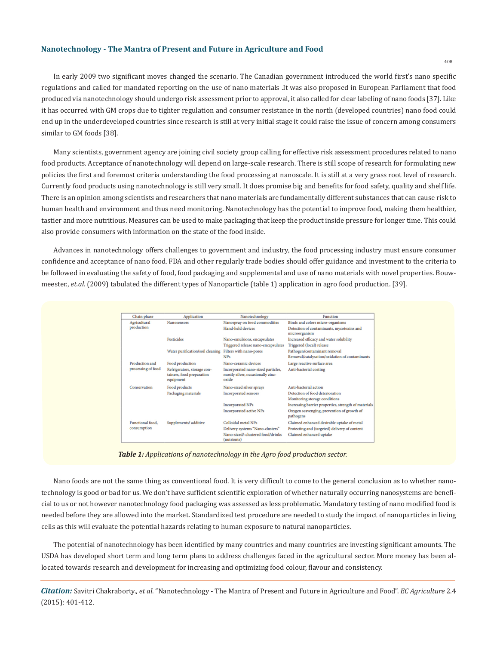In early 2009 two significant moves changed the scenario. The Canadian government introduced the world first's nano specific regulations and called for mandated reporting on the use of nano materials .It was also proposed in European Parliament that food produced via nanotechnology should undergo risk assessment prior to approval, it also called for clear labeling of nano foods [37]. Like it has occurred with GM crops due to tighter regulation and consumer resistance in the north (developed countries) nano food could end up in the underdeveloped countries since research is still at very initial stage it could raise the issue of concern among consumers similar to GM foods [38].

Many scientists, government agency are joining civil society group calling for effective risk assessment procedures related to nano food products. Acceptance of nanotechnology will depend on large-scale research. There is still scope of research for formulating new policies the first and foremost criteria understanding the food processing at nanoscale. It is still at a very grass root level of research. Currently food products using nanotechnology is still very small. It does promise big and benefits for food safety, quality and shelf life. There is an opinion among scientists and researchers that nano materials are fundamentally different substances that can cause risk to human health and environment and thus need monitoring. Nanotechnology has the potential to improve food, making them healthier, tastier and more nutritious. Measures can be used to make packaging that keep the product inside pressure for longer time. This could also provide consumers with information on the state of the food inside.

Advances in nanotechnology offers challenges to government and industry, the food processing industry must ensure consumer confidence and acceptance of nano food. FDA and other regularly trade bodies should offer guidance and investment to the criteria to be followed in evaluating the safety of food, food packaging and supplemental and use of nano materials with novel properties. Bouwmeester., *et.al*. (2009) tabulated the different types of Nanoparticle (table 1) application in agro food production. [39].

| Chain phase                     | Application                                                           | Nanotechnology                                                                   | Function                                                                       |
|---------------------------------|-----------------------------------------------------------------------|----------------------------------------------------------------------------------|--------------------------------------------------------------------------------|
| Agricultural                    | <b>Nanosensors</b>                                                    | Nanospray on food commodities                                                    | Binds and colors micro-organisms                                               |
| production                      |                                                                       | Hand-held devices                                                                | Detection of contaminants, mycotoxins and<br>microorganism                     |
|                                 | Pesticides                                                            | Nano-emulsions, encapsulates                                                     | Increased efficacy and water solubility                                        |
|                                 |                                                                       | Triggered release nano-encapsulates                                              | Triggered (local) release                                                      |
|                                 | Water purification/soil cleaning                                      | Filters with nano-pores<br><b>NPs</b>                                            | Pathogen/contaminant removal<br>Removal/catalysation/oxidation of contaminants |
| Production and                  | Food production                                                       | Nano-ceramic devices                                                             | Large reactive surface area                                                    |
| processing of food              | Refrigerators, storage con-<br>tainers, food preparation<br>equipment | Incorporated nano-sized particles,<br>mostly silver, occasionally zinc-<br>oxide | Anti-bacterial coating                                                         |
| Conservation                    | Food products                                                         | Nano-sized silver sprays                                                         | Anti-bacterial action                                                          |
|                                 | Packaging materials                                                   | Incorporated sensors                                                             | Detection of food deterioration                                                |
|                                 |                                                                       |                                                                                  | Monitoring storage conditions                                                  |
|                                 |                                                                       | <b>Incorporated NPs</b>                                                          | Increasing barrier properties, strength of materials                           |
|                                 |                                                                       | Incorporated active NPs                                                          | Oxygen scavenging, prevention of growth of<br>pathogens                        |
| Functional food.<br>consumption | Supplements/ additive                                                 | Colloidal metal NPs                                                              | Claimed enhanced desirable uptake of metal                                     |
|                                 |                                                                       | Delivery systems "Nano-clusters"                                                 | Protecting and (targeted) delivery of content                                  |
|                                 |                                                                       | Nano-sized/-clustered food/drinks<br>(nutrients)                                 | Claimed enhanced uptake                                                        |

*Table 1: Applications of nanotechnology in the Agro food production sector.*

Nano foods are not the same thing as conventional food. It is very difficult to come to the general conclusion as to whether nanotechnology is good or bad for us. We don't have sufficient scientific exploration of whether naturally occurring nanosystems are beneficial to us or not however nanotechnology food packaging was assessed as less problematic. Mandatory testing of nano modified food is needed before they are allowed into the market. Standardized test procedure are needed to study the impact of nanoparticles in living cells as this will evaluate the potential hazards relating to human exposure to natural nanoparticles.

The potential of nanotechnology has been identified by many countries and many countries are investing significant amounts. The USDA has developed short term and long term plans to address challenges faced in the agricultural sector. More money has been allocated towards research and development for increasing and optimizing food colour, flavour and consistency.

*Citation:* Savitri Chakraborty., *et al*. "Nanotechnology - The Mantra of Present and Future in Agriculture and Food". *EC Agriculture* 2.4 (2015): 401-412.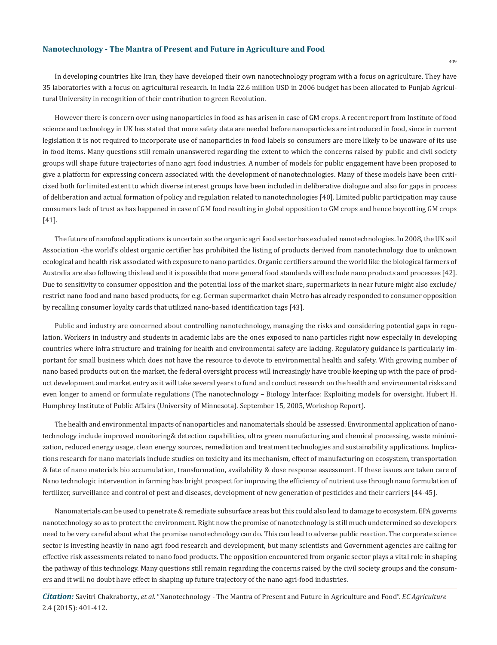In developing countries like Iran, they have developed their own nanotechnology program with a focus on agriculture. They have 35 laboratories with a focus on agricultural research. In India 22.6 million USD in 2006 budget has been allocated to Punjab Agricultural University in recognition of their contribution to green Revolution.

However there is concern over using nanoparticles in food as has arisen in case of GM crops. A recent report from Institute of food science and technology in UK has stated that more safety data are needed before nanoparticles are introduced in food, since in current legislation it is not required to incorporate use of nanoparticles in food labels so consumers are more likely to be unaware of its use in food items. Many questions still remain unanswered regarding the extent to which the concerns raised by public and civil society groups will shape future trajectories of nano agri food industries. A number of models for public engagement have been proposed to give a platform for expressing concern associated with the development of nanotechnologies. Many of these models have been criticized both for limited extent to which diverse interest groups have been included in deliberative dialogue and also for gaps in process of deliberation and actual formation of policy and regulation related to nanotechnologies [40]. Limited public participation may cause consumers lack of trust as has happened in case of GM food resulting in global opposition to GM crops and hence boycotting GM crops [41].

The future of nanofood applications is uncertain so the organic agri food sector has excluded nanotechnologies. In 2008, the UK soil Association -the world's oldest organic certifier has prohibited the listing of products derived from nanotechnology due to unknown ecological and health risk associated with exposure to nano particles. Organic certifiers around the world like the biological farmers of Australia are also following this lead and it is possible that more general food standards will exclude nano products and processes [42]. Due to sensitivity to consumer opposition and the potential loss of the market share, supermarkets in near future might also exclude/ restrict nano food and nano based products, for e.g. German supermarket chain Metro has already responded to consumer opposition by recalling consumer loyalty cards that utilized nano-based identification tags [43].

Public and industry are concerned about controlling nanotechnology, managing the risks and considering potential gaps in regulation. Workers in industry and students in academic labs are the ones exposed to nano particles right now especially in developing countries where infra structure and training for health and environmental safety are lacking. Regulatory guidance is particularly important for small business which does not have the resource to devote to environmental health and safety. With growing number of nano based products out on the market, the federal oversight process will increasingly have trouble keeping up with the pace of product development and market entry as it will take several years to fund and conduct research on the health and environmental risks and even longer to amend or formulate regulations (The nanotechnology – Biology Interface: Exploiting models for oversight. Hubert H. Humphrey Institute of Public Affairs (University of Minnesota). September 15, 2005, Workshop Report).

The health and environmental impacts of nanoparticles and nanomaterials should be assessed. Environmental application of nanotechnology include improved monitoring& detection capabilities, ultra green manufacturing and chemical processing, waste minimization, reduced energy usage, clean energy sources, remediation and treatment technologies and sustainability applications. Implications research for nano materials include studies on toxicity and its mechanism, effect of manufacturing on ecosystem, transportation & fate of nano materials bio accumulation, transformation, availability & dose response assessment. If these issues are taken care of Nano technologic intervention in farming has bright prospect for improving the efficiency of nutrient use through nano formulation of fertilizer, surveillance and control of pest and diseases, development of new generation of pesticides and their carriers [44-45].

Nanomaterials can be used to penetrate & remediate subsurface areas but this could also lead to damage to ecosystem. EPA governs nanotechnology so as to protect the environment. Right now the promise of nanotechnology is still much undetermined so developers need to be very careful about what the promise nanotechnology can do. This can lead to adverse public reaction. The corporate science sector is investing heavily in nano agri food research and development, but many scientists and Government agencies are calling for effective risk assessments related to nano food products. The opposition encountered from organic sector plays a vital role in shaping the pathway of this technology. Many questions still remain regarding the concerns raised by the civil society groups and the consumers and it will no doubt have effect in shaping up future trajectory of the nano agri-food industries.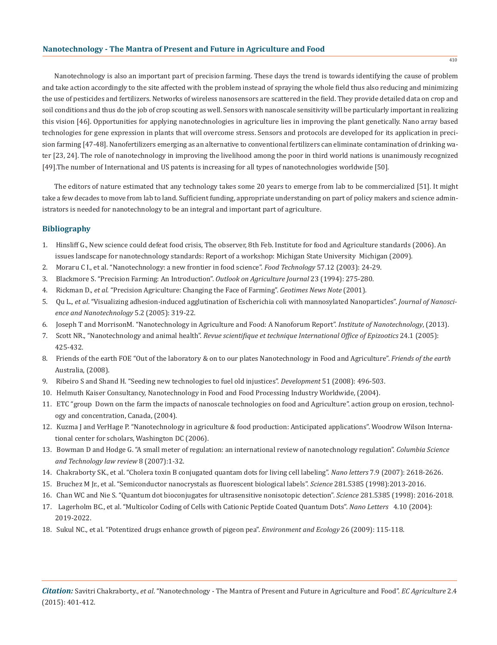Nanotechnology is also an important part of precision farming. These days the trend is towards identifying the cause of problem and take action accordingly to the site affected with the problem instead of spraying the whole field thus also reducing and minimizing the use of pesticides and fertilizers. Networks of wireless nanosensors are scattered in the field. They provide detailed data on crop and soil conditions and thus do the job of crop scouting as well. Sensors with nanoscale sensitivity will be particularly important in realizing this vision [46]. Opportunities for applying nanotechnologies in agriculture lies in improving the plant genetically. Nano array based technologies for gene expression in plants that will overcome stress. Sensors and protocols are developed for its application in precision farming [47-48]. Nanofertilizers emerging as an alternative to conventional fertilizers can eliminate contamination of drinking water [23, 24]. The role of nanotechnology in improving the livelihood among the poor in third world nations is unanimously recognized [49].The number of International and US patents is increasing for all types of nanotechnologies worldwide [50].

The editors of nature estimated that any technology takes some 20 years to emerge from lab to be commercialized [51]. It might take a few decades to move from lab to land. Sufficient funding, appropriate understanding on part of policy makers and science administrators is needed for nanotechnology to be an integral and important part of agriculture.

# **Bibliography**

- 1. Hinsliff G., New science could defeat food crisis, The observer, 8th Feb. Institute for food and Agriculture standards (2006). An issues landscape for nanotechnology standards: Report of a workshop: Michigan State University Michigan (2009).
- 2. Moraru C I., et al. "Nanotechnology: a new frontier in food science". *Food Technology* 57.12 (2003): 24-29.
- 3. Blackmore S. "Precision Farming: An Introduction". *Outlook on Agriculture Journal* 23 (1994): 275-280.
- 4. Rickman D., *et al*. "Precision Agriculture: Changing the Face of Farming". *Geotimes News Note* (2001).
- 5. Qu L., *et al*. "Visualizing adhesion-induced agglutination of Escherichia coli with mannosylated Nanoparticles". *Journal of Nanosci ence and Nanotechnology* 5.2 (2005): 319-22.
- 6. Joseph T and MorrisonM. "Nanotechnology in Agriculture and Food: A Nanoforum Report". *Institute of Nanotechnology*, (2013).
- 7. Scott NR., "Nanotechnology and animal health". *Revue scientifique et technique International Office of Epizootics* 24.1 (2005): 425-432.
- 8. Friends of the earth FOE "Out of the laboratory & on to our plates Nanotechnology in Food and Agriculture". *Friends of the earth* Australia, (2008).
- 9. Ribeiro S and Shand H. "Seeding new technologies to fuel old injustices". *Development* 51 (2008): 496-503.
- 10. Helmuth Kaiser Consultancy, Nanotechnology in Food and Food Processing Industry Worldwide, (2004).
- 11. ETC "group Down on the farm the impacts of nanoscale technologies on food and Agriculture". action group on erosion, technol ogy and concentration, Canada, (2004).
- 12. Kuzma J and VerHage P. "Nanotechnology in agriculture & food production: Anticipated applications". Woodrow Wilson Interna tional center for scholars, Washington DC (2006).
- 13. Bowman D and Hodge G. "A small meter of regulation: an international review of nanotechnology regulation". *Columbia Science and Technology law review* 8 (2007):1-32.
- 14. Chakraborty SK., et al. "Cholera toxin B conjugated quantam dots for living cell labeling". *Nano letters* 7.9 (2007): 2618-2626.
- 15. Bruchez M Jr., et al. "Semiconductor nanocrystals as fluorescent biological labels". *Science* 281.5385 (1998):2013-2016.
- 16. Chan WC and Nie S. "Quantum dot bioconjugates for ultrasensitive nonisotopic detection". *Science* 281.5385 (1998): 2016-2018.
- 17. Lagerholm BC., et al. "Multicolor Coding of Cells with Cationic Peptide Coated Quantum Dots". *Nano Letters* 4.10 (2004): 2019-2022.
- 18. Sukul NC., et al. "Potentized drugs enhance growth of pigeon pea". *Environment and Ecology* 26 (2009): 115-118.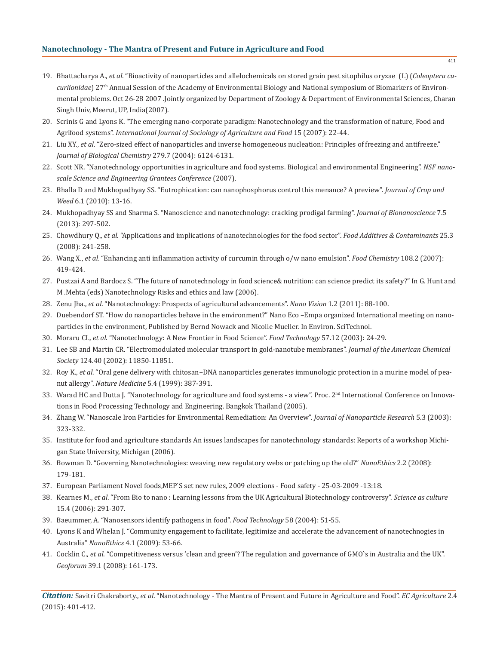- 19. Bhattacharya A., *et al*. "Bioactivity of nanoparticles and allelochemicals on stored grain pest sitophilus oryzae (L) (*Coleoptera cu curlionidae*) 27th Annual Session of the Academy of Environmental Biology and National symposium of Biomarkers of Environ mental problems. Oct 26-28 2007 .Jointly organized by Department of Zoology & Department of Environmental Sciences, Charan Singh Univ, Meerut, UP, India(2007).
- 20. Scrinis G and Lyons K. "The emerging nano-corporate paradigm: Nanotechnology and the transformation of nature, Food and Agrifood systems". *International Journal of Sociology of Agriculture and Food* 15 (2007): 22-44.
- 21. Liu XY., *et al*. "Zero-sized effect of nanoparticles and inverse homogeneous nucleation: Principles of freezing and antifreeze." *Journal of Biological Chemistry* 279.7 (2004): 6124-6131.
- 22. Scott NR. "Nanotechnology opportunities in agriculture and food systems. Biological and environmental Engineering". *NSF nano scale Science and Engineering Grantees Conference* (2007).
- 23. Bhalla D and Mukhopadhyay SS. "Eutrophication: can nanophosphorus control this menance? A preview". *Journal of Crop and Weed* 6.1 (2010): 13-16.
- 24. Mukhopadhyay SS and Sharma S. "Nanoscience and nanotechnology: cracking prodigal farming". *Journal of Bionanoscience* 7.5 (2013): 297-502.
- 25. Chowdhury Q., *et al*. "Applications and implications of nanotechnologies for the food sector". *Food Additives & Contaminants* 25.3 (2008): 241-258.
- 26. Wang X., *et al*. "Enhancing anti inflammation activity of curcumin through o/w nano emulsion". *Food Chemistry* 108.2 (2007): 419-424.
- 27. Pustzai A and Bardocz S. "The future of nanotechnology in food science& nutrition: can science predict its safety?" In G. Hunt and M .Mehta (eds) Nanotechnology Risks and ethics and law (2006).
- 28. Zenu Jha., *et al*. "Nanotechnology: Prospects of agricultural advancements". *Nano Vision* 1.2 (2011): 88-100.
- 29. Duebendorf ST. "How do nanoparticles behave in the environment?" Nano Eco –Empa organized International meeting on nano particles in the environment, Published by Bernd Nowack and Nicolle Mueller. In Environ. SciTechnol.
- 30. Moraru CI., *et al*. "Nanotechnology: A New Frontier in Food Science". *Food Technology* 57.12 (2003): 24-29.
- 31. Lee SB and Martin CR. "Electromodulated molecular transport in gold-nanotube membranes". *Journal of the American Chemical Society* 124.40 (2002): 11850-11851.
- 32. Roy K., *et al*. "Oral gene delivery with chitosan−DNA nanoparticles generates immunologic protection in a murine model of pea nut allergy". *Nature Medicine* 5.4 (1999): 387-391.
- 33. Warad HC and Dutta J. "Nanotechnology for agriculture and food systems a view". Proc. 2<sup>nd</sup> International Conference on Innovations in Food Processing Technology and Engineering. Bangkok Thailand (2005).
- 34. Zhang W. "Nanoscale Iron Particles for Environmental Remediation: An Overview". *Journal of Nanoparticle Research* 5.3 (2003): 323-332.
- 35. Institute for food and agriculture standards An issues landscapes for nanotechnology standards: Reports of a workshop Michi gan State University, Michigan (2006).
- 36. Bowman D. "Governing Nanotechnologies: weaving new regulatory webs or patching up the old?" *NanoEthics* 2.2 (2008): 179-181.
- 37. European Parliament Novel foods,MEP`S set new rules, 2009 elections Food safety 25-03-2009 -13:18.
- 38. Kearnes M., *et al*. "From Bio to nano : Learning lessons from the UK Agricultural Biotechnology controversy". *Science as culture*  15.4 (2006): 291-307.
- 39. Baeummer, A. "Nanosensors identify pathogens in food". *Food Technology* 58 (2004): 51-55.
- 40. Lyons K and Whelan J. "Community engagement to facilitate, legitimize and accelerate the advancement of nanotechnogies in Australia" *NanoEthics* 4.1 (2009): 53-66.
- 41. Cocklin C., *et al*. "Competitiveness versus 'clean and green'? The regulation and governance of GMO`s in Australia and the UK". *Geoforum* 39.1 (2008): 161-173.